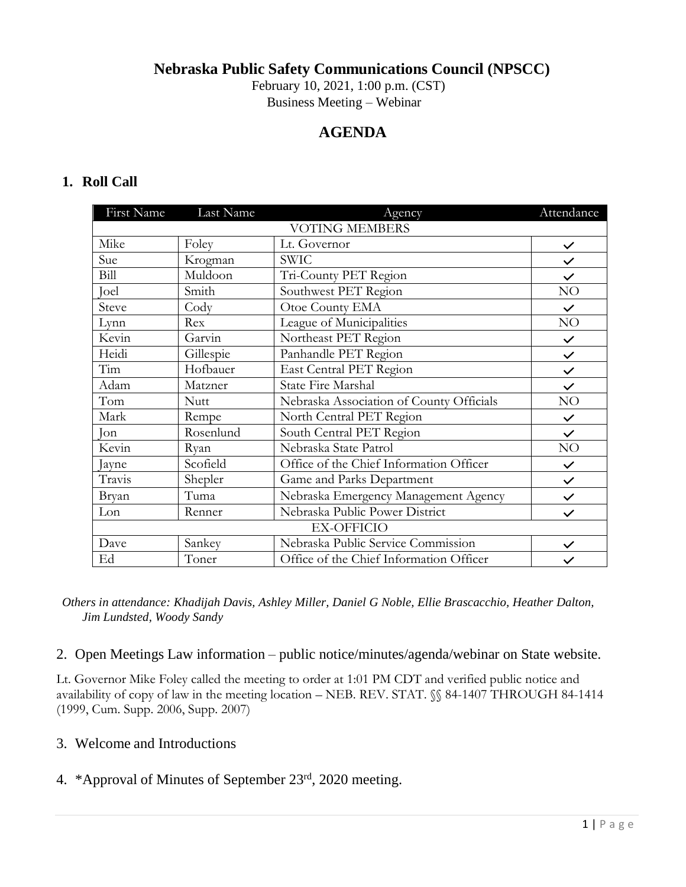**Nebraska Public Safety Communications Council (NPSCC)**

February 10, 2021, 1:00 p.m. (CST)

Business Meeting – Webinar

# **AGENDA**

## **1. Roll Call**

| First Name            | Last Name | Agency                                   | Attendance   |
|-----------------------|-----------|------------------------------------------|--------------|
| <b>VOTING MEMBERS</b> |           |                                          |              |
| Mike                  | Foley     | Lt. Governor                             | $\checkmark$ |
| Sue                   | Krogman   | SWIC                                     | $\checkmark$ |
| Bill                  | Muldoon   | Tri-County PET Region                    | $\checkmark$ |
| Joel                  | Smith     | Southwest PET Region                     | NO           |
| Steve                 | Cody      | Otoe County EMA                          | $\checkmark$ |
| Lynn                  | Rex       | League of Municipalities                 | NO           |
| Kevin                 | Garvin    | Northeast PET Region                     | $\checkmark$ |
| Heidi                 | Gillespie | Panhandle PET Region                     | $\checkmark$ |
| Tim                   | Hofbauer  | East Central PET Region                  | $\checkmark$ |
| Adam                  | Matzner   | State Fire Marshal                       | $\checkmark$ |
| Tom                   | Nutt      | Nebraska Association of County Officials | NO           |
| Mark                  | Rempe     | North Central PET Region                 | $\checkmark$ |
| Jon                   | Rosenlund | South Central PET Region                 | $\checkmark$ |
| Kevin                 | Ryan      | Nebraska State Patrol                    | NO           |
| Jayne                 | Scofield  | Office of the Chief Information Officer  | $\checkmark$ |
| Travis                | Shepler   | Game and Parks Department                | $\checkmark$ |
| Bryan                 | Tuma      | Nebraska Emergency Management Agency     | $\checkmark$ |
| Lon                   | Renner    | Nebraska Public Power District           | $\checkmark$ |
| <b>EX-OFFICIO</b>     |           |                                          |              |
| Dave                  | Sankey    | Nebraska Public Service Commission       | $\checkmark$ |
| Ed                    | Toner     | Office of the Chief Information Officer  | $\checkmark$ |

*Others in attendance: Khadijah Davis, Ashley Miller, Daniel G Noble, Ellie Brascacchio, Heather Dalton, Jim Lundsted, Woody Sandy*

### 2. Open Meetings Law information – public notice/minutes/agenda/webinar on State website.

Lt. Governor Mike Foley called the meeting to order at 1:01 PM CDT and verified public notice and availability of copy of law in the meeting location – NEB. REV. STAT. §§ 84-1407 THROUGH 84-1414 (1999, Cum. Supp. 2006, Supp. 2007)

### 3. Welcome and Introductions

## 4. \*Approval of Minutes of September 23<sup>rd</sup>, 2020 meeting.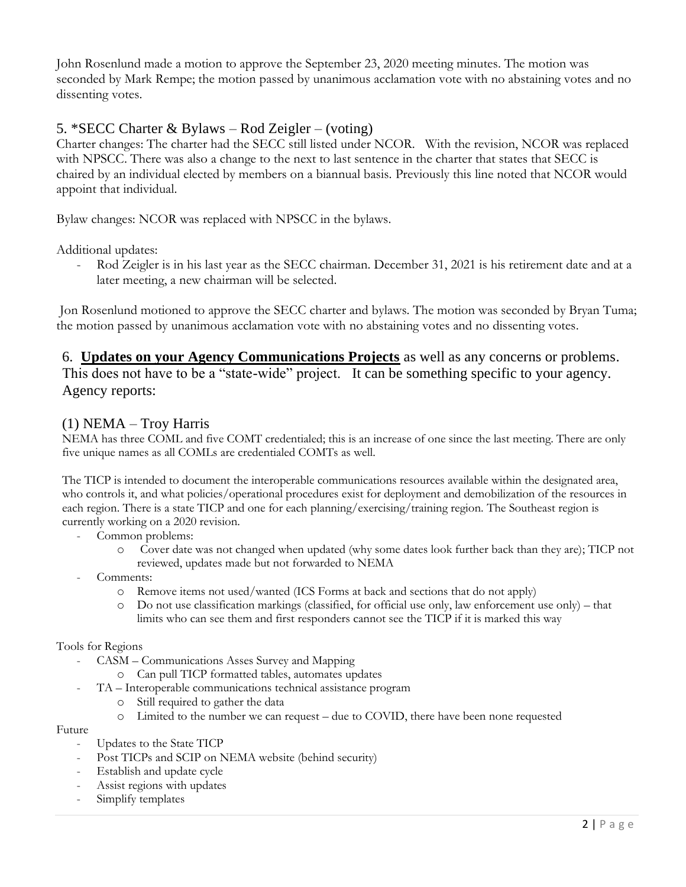John Rosenlund made a motion to approve the September 23, 2020 meeting minutes. The motion was seconded by Mark Rempe; the motion passed by unanimous acclamation vote with no abstaining votes and no dissenting votes.

## 5. \*SECC Charter & Bylaws – Rod Zeigler – (voting)

Charter changes: The charter had the SECC still listed under NCOR. With the revision, NCOR was replaced with NPSCC. There was also a change to the next to last sentence in the charter that states that SECC is chaired by an individual elected by members on a biannual basis. Previously this line noted that NCOR would appoint that individual.

Bylaw changes: NCOR was replaced with NPSCC in the bylaws.

Additional updates:

Rod Zeigler is in his last year as the SECC chairman. December 31, 2021 is his retirement date and at a later meeting, a new chairman will be selected.

Jon Rosenlund motioned to approve the SECC charter and bylaws. The motion was seconded by Bryan Tuma; the motion passed by unanimous acclamation vote with no abstaining votes and no dissenting votes.

6. **Updates on your Agency Communications Projects** as well as any concerns or problems. This does not have to be a "state-wide" project. It can be something specific to your agency. Agency reports:

### (1) NEMA – Troy Harris

NEMA has three COML and five COMT credentialed; this is an increase of one since the last meeting. There are only five unique names as all COMLs are credentialed COMTs as well.

The TICP is intended to document the interoperable communications resources available within the designated area, who controls it, and what policies/operational procedures exist for deployment and demobilization of the resources in each region. There is a state TICP and one for each planning/exercising/training region. The Southeast region is currently working on a 2020 revision.

Common problems:

- Cover date was not changed when updated (why some dates look further back than they are); TICP not reviewed, updates made but not forwarded to NEMA
- Comments:
	- o Remove items not used/wanted (ICS Forms at back and sections that do not apply)
	- o Do not use classification markings (classified, for official use only, law enforcement use only) that limits who can see them and first responders cannot see the TICP if it is marked this way

#### Tools for Regions

- CASM Communications Asses Survey and Mapping
	- o Can pull TICP formatted tables, automates updates
- TA Interoperable communications technical assistance program
	- o Still required to gather the data
	- o Limited to the number we can request due to COVID, there have been none requested

#### Future

- Updates to the State TICP
- Post TICPs and SCIP on NEMA website (behind security)
- Establish and update cycle
- Assist regions with updates
- Simplify templates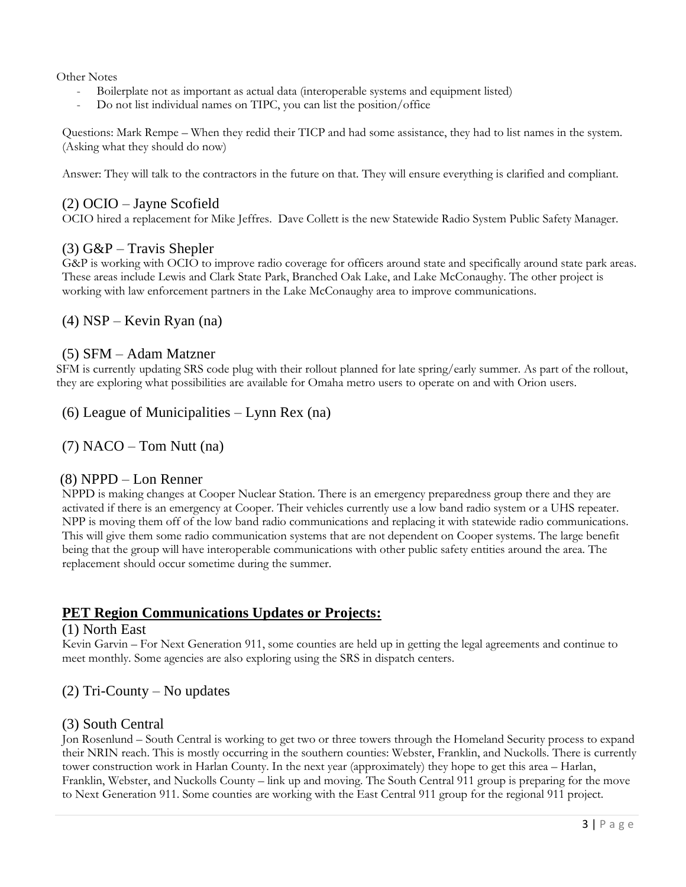Other Notes

- Boilerplate not as important as actual data (interoperable systems and equipment listed)
- Do not list individual names on TIPC, you can list the position/office

Questions: Mark Rempe – When they redid their TICP and had some assistance, they had to list names in the system. (Asking what they should do now)

Answer: They will talk to the contractors in the future on that. They will ensure everything is clarified and compliant.

#### (2) OCIO – Jayne Scofield

OCIO hired a replacement for Mike Jeffres. Dave Collett is the new Statewide Radio System Public Safety Manager.

### $(3)$  G&P – Travis Shepler

G&P is working with OCIO to improve radio coverage for officers around state and specifically around state park areas. These areas include Lewis and Clark State Park, Branched Oak Lake, and Lake McConaughy. The other project is working with law enforcement partners in the Lake McConaughy area to improve communications.

### (4) NSP – Kevin Ryan (na)

#### (5) SFM – Adam Matzner

SFM is currently updating SRS code plug with their rollout planned for late spring/early summer. As part of the rollout, they are exploring what possibilities are available for Omaha metro users to operate on and with Orion users.

(6) League of Municipalities – Lynn Rex (na)

 $(7)$  NACO – Tom Nutt (na)

### (8) NPPD – Lon Renner

NPPD is making changes at Cooper Nuclear Station. There is an emergency preparedness group there and they are activated if there is an emergency at Cooper. Their vehicles currently use a low band radio system or a UHS repeater. NPP is moving them off of the low band radio communications and replacing it with statewide radio communications. This will give them some radio communication systems that are not dependent on Cooper systems. The large benefit being that the group will have interoperable communications with other public safety entities around the area. The replacement should occur sometime during the summer.

## **PET Region Communications Updates or Projects:**

#### (1) North East

Kevin Garvin – For Next Generation 911, some counties are held up in getting the legal agreements and continue to meet monthly. Some agencies are also exploring using the SRS in dispatch centers.

### (2) Tri-County – No updates

#### (3) South Central

Jon Rosenlund – South Central is working to get two or three towers through the Homeland Security process to expand their NRIN reach. This is mostly occurring in the southern counties: Webster, Franklin, and Nuckolls. There is currently tower construction work in Harlan County. In the next year (approximately) they hope to get this area – Harlan, Franklin, Webster, and Nuckolls County – link up and moving. The South Central 911 group is preparing for the move to Next Generation 911. Some counties are working with the East Central 911 group for the regional 911 project.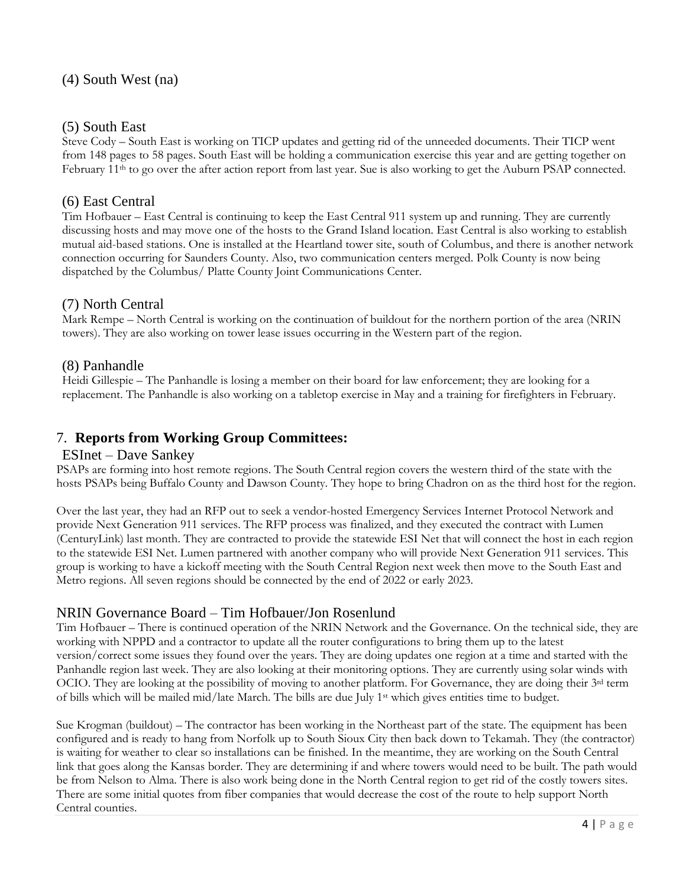### (5) South East

Steve Cody – South East is working on TICP updates and getting rid of the unneeded documents. Their TICP went from 148 pages to 58 pages. South East will be holding a communication exercise this year and are getting together on February 11th to go over the after action report from last year. Sue is also working to get the Auburn PSAP connected.

### (6) East Central

Tim Hofbauer – East Central is continuing to keep the East Central 911 system up and running. They are currently discussing hosts and may move one of the hosts to the Grand Island location. East Central is also working to establish mutual aid-based stations. One is installed at the Heartland tower site, south of Columbus, and there is another network connection occurring for Saunders County. Also, two communication centers merged. Polk County is now being dispatched by the Columbus/ Platte County Joint Communications Center.

## (7) North Central

Mark Rempe – North Central is working on the continuation of buildout for the northern portion of the area (NRIN towers). They are also working on tower lease issues occurring in the Western part of the region.

### (8) Panhandle

Heidi Gillespie – The Panhandle is losing a member on their board for law enforcement; they are looking for a replacement. The Panhandle is also working on a tabletop exercise in May and a training for firefighters in February.

## 7. **Reports from Working Group Committees:**

#### ESInet – Dave Sankey

PSAPs are forming into host remote regions. The South Central region covers the western third of the state with the hosts PSAPs being Buffalo County and Dawson County. They hope to bring Chadron on as the third host for the region.

Over the last year, they had an RFP out to seek a vendor-hosted Emergency Services Internet Protocol Network and provide Next Generation 911 services. The RFP process was finalized, and they executed the contract with Lumen (CenturyLink) last month. They are contracted to provide the statewide ESI Net that will connect the host in each region to the statewide ESI Net. Lumen partnered with another company who will provide Next Generation 911 services. This group is working to have a kickoff meeting with the South Central Region next week then move to the South East and Metro regions. All seven regions should be connected by the end of 2022 or early 2023.

## NRIN Governance Board – Tim Hofbauer/Jon Rosenlund

Tim Hofbauer – There is continued operation of the NRIN Network and the Governance. On the technical side, they are working with NPPD and a contractor to update all the router configurations to bring them up to the latest version/correct some issues they found over the years. They are doing updates one region at a time and started with the Panhandle region last week. They are also looking at their monitoring options. They are currently using solar winds with OCIO. They are looking at the possibility of moving to another platform. For Governance, they are doing their 3<sup>rd</sup> term of bills which will be mailed mid/late March. The bills are due July 1st which gives entities time to budget.

Sue Krogman (buildout) – The contractor has been working in the Northeast part of the state. The equipment has been configured and is ready to hang from Norfolk up to South Sioux City then back down to Tekamah. They (the contractor) is waiting for weather to clear so installations can be finished. In the meantime, they are working on the South Central link that goes along the Kansas border. They are determining if and where towers would need to be built. The path would be from Nelson to Alma. There is also work being done in the North Central region to get rid of the costly towers sites. There are some initial quotes from fiber companies that would decrease the cost of the route to help support North Central counties.